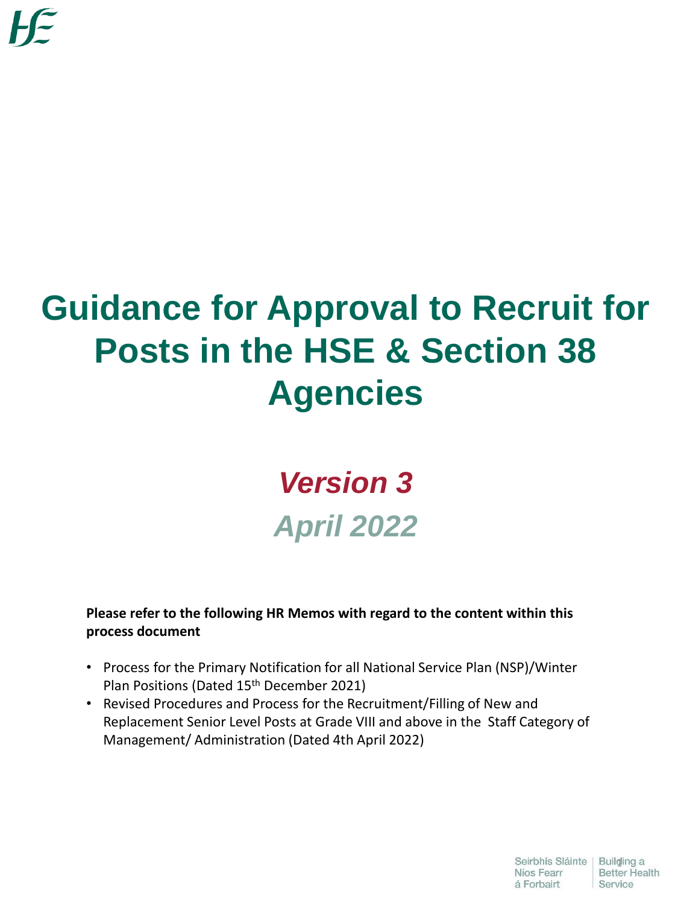# **Guidance for Approval to Recruit for Posts in the HSE & Section 38 Agencies**

## *Version 3 April 2022*

**Please refer to the following HR Memos with regard to the content within this process document**

- Process for the Primary Notification for all National Service Plan (NSP)/Winter Plan Positions (Dated 15<sup>th</sup> December 2021)
- Revised Procedures and Process for the Recruitment/Filling of New and Replacement Senior Level Posts at Grade VIII and above in the Staff Category of Management/ Administration (Dated 4th April 2022)

Seirbhís Sláinte | Builging a<br>Níos Fearr | Better Health

Service

Níos Fearr á Forbairt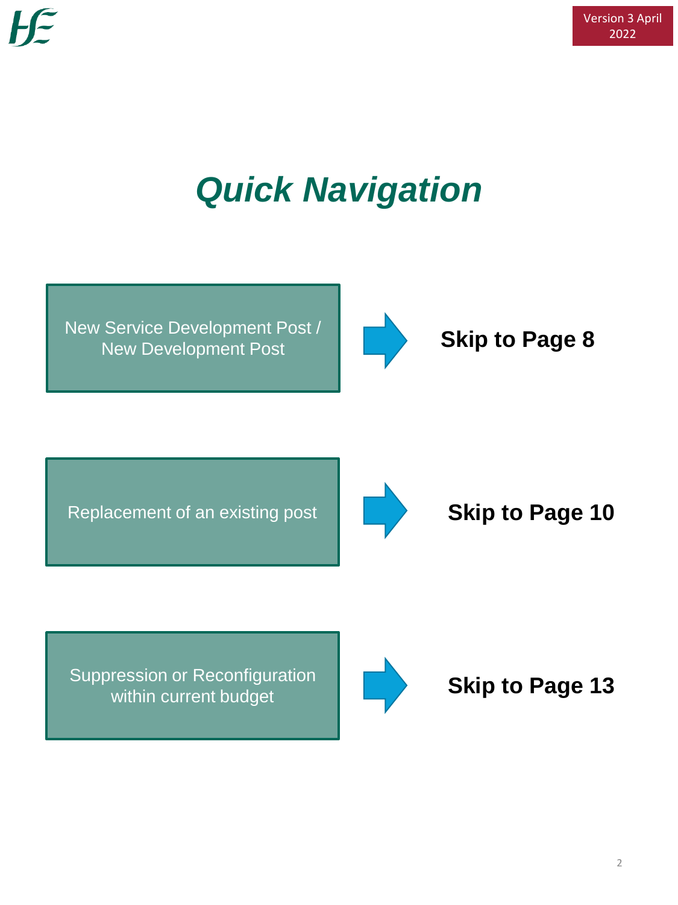# *Quick Navigation*

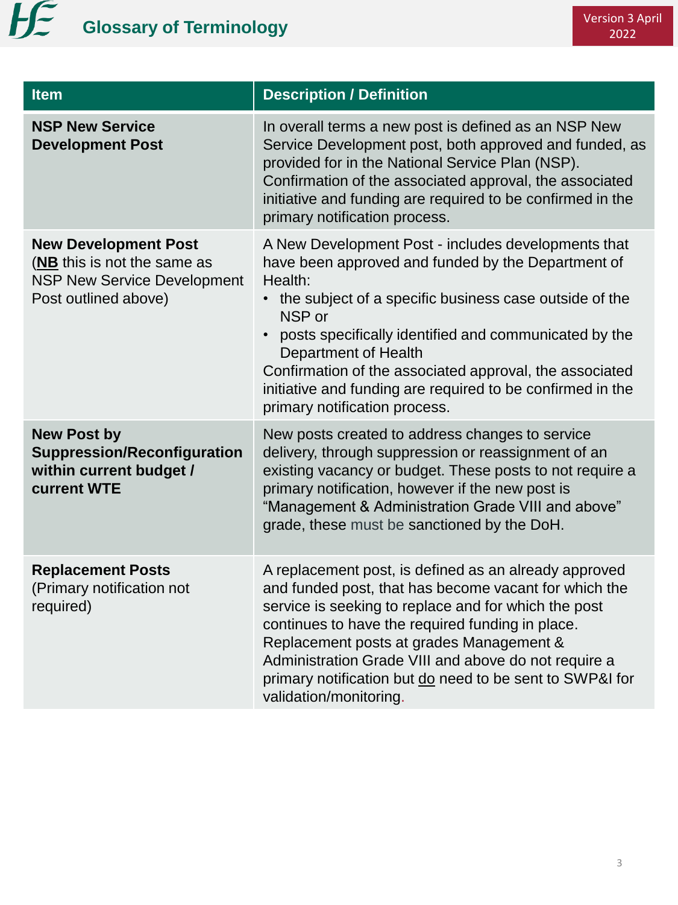

| <b>Item</b>                                                                                                              | <b>Description / Definition</b>                                                                                                                                                                                                                                                                                                                                                                                                              |  |  |
|--------------------------------------------------------------------------------------------------------------------------|----------------------------------------------------------------------------------------------------------------------------------------------------------------------------------------------------------------------------------------------------------------------------------------------------------------------------------------------------------------------------------------------------------------------------------------------|--|--|
| <b>NSP New Service</b><br><b>Development Post</b>                                                                        | In overall terms a new post is defined as an NSP New<br>Service Development post, both approved and funded, as<br>provided for in the National Service Plan (NSP).<br>Confirmation of the associated approval, the associated<br>initiative and funding are required to be confirmed in the<br>primary notification process.                                                                                                                 |  |  |
| <b>New Development Post</b><br>(NB this is not the same as<br><b>NSP New Service Development</b><br>Post outlined above) | A New Development Post - includes developments that<br>have been approved and funded by the Department of<br>Health:<br>• the subject of a specific business case outside of the<br>NSP or<br>posts specifically identified and communicated by the<br><b>Department of Health</b><br>Confirmation of the associated approval, the associated<br>initiative and funding are required to be confirmed in the<br>primary notification process. |  |  |
| <b>New Post by</b><br><b>Suppression/Reconfiguration</b><br>within current budget /<br>current WTE                       | New posts created to address changes to service<br>delivery, through suppression or reassignment of an<br>existing vacancy or budget. These posts to not require a<br>primary notification, however if the new post is<br>"Management & Administration Grade VIII and above"<br>grade, these must be sanctioned by the DoH.                                                                                                                  |  |  |
| <b>Replacement Posts</b><br>(Primary notification not<br>required)                                                       | A replacement post, is defined as an already approved<br>and funded post, that has become vacant for which the<br>service is seeking to replace and for which the post<br>continues to have the required funding in place.<br>Replacement posts at grades Management &<br>Administration Grade VIII and above do not require a<br>primary notification but do need to be sent to SWP&I for<br>validation/monitoring.                         |  |  |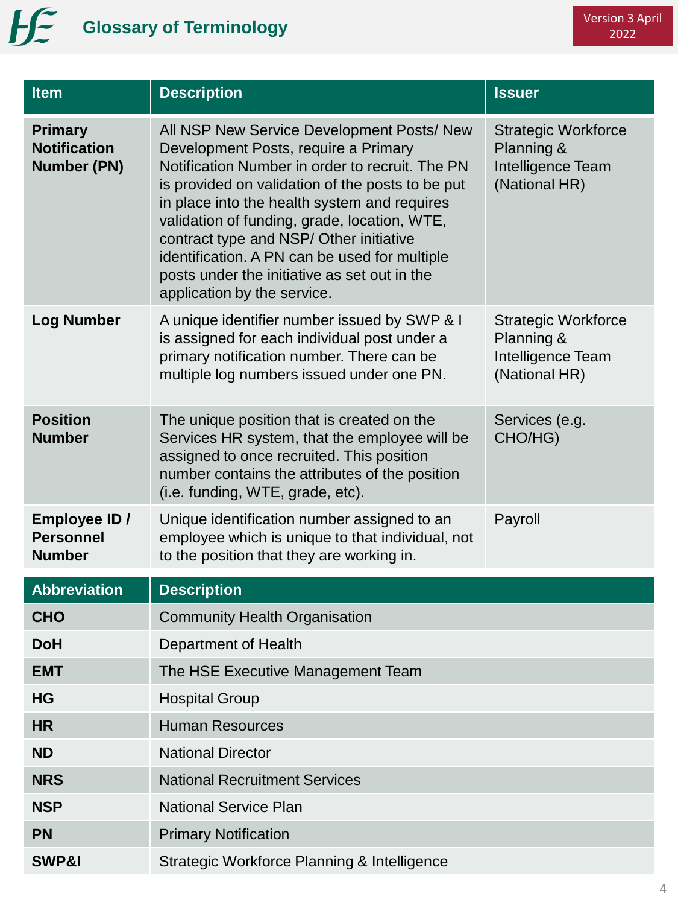| <b>Item</b>                                                 | <b>Description</b>                                                                                                                                                                                                                                                                                                                                                                                                                                                   | <b>Issuer</b>                                                                  |  |
|-------------------------------------------------------------|----------------------------------------------------------------------------------------------------------------------------------------------------------------------------------------------------------------------------------------------------------------------------------------------------------------------------------------------------------------------------------------------------------------------------------------------------------------------|--------------------------------------------------------------------------------|--|
| <b>Primary</b><br><b>Notification</b><br><b>Number (PN)</b> | All NSP New Service Development Posts/ New<br>Development Posts, require a Primary<br>Notification Number in order to recruit. The PN<br>is provided on validation of the posts to be put<br>in place into the health system and requires<br>validation of funding, grade, location, WTE,<br>contract type and NSP/ Other initiative<br>identification. A PN can be used for multiple<br>posts under the initiative as set out in the<br>application by the service. |                                                                                |  |
| <b>Log Number</b>                                           | A unique identifier number issued by SWP & I<br>is assigned for each individual post under a<br>primary notification number. There can be<br>multiple log numbers issued under one PN.                                                                                                                                                                                                                                                                               | <b>Strategic Workforce</b><br>Planning &<br>Intelligence Team<br>(National HR) |  |
| <b>Position</b><br><b>Number</b>                            | The unique position that is created on the<br>Services HR system, that the employee will be<br>assigned to once recruited. This position<br>number contains the attributes of the position<br>(i.e. funding, WTE, grade, etc).                                                                                                                                                                                                                                       | Services (e.g.<br>CHO/HG)                                                      |  |
| Employee ID /<br><b>Personnel</b><br><b>Number</b>          | Unique identification number assigned to an<br>employee which is unique to that individual, not<br>to the position that they are working in.                                                                                                                                                                                                                                                                                                                         | Payroll                                                                        |  |
| <b>Abbreviation</b>                                         | <b>Description</b>                                                                                                                                                                                                                                                                                                                                                                                                                                                   |                                                                                |  |
| <b>CHO</b>                                                  | <b>Community Health Organisation</b>                                                                                                                                                                                                                                                                                                                                                                                                                                 |                                                                                |  |
| <b>DoH</b>                                                  | Department of Health                                                                                                                                                                                                                                                                                                                                                                                                                                                 |                                                                                |  |
| <b>EMT</b>                                                  | The HSE Executive Management Team                                                                                                                                                                                                                                                                                                                                                                                                                                    |                                                                                |  |
| <b>HG</b>                                                   | <b>Hospital Group</b>                                                                                                                                                                                                                                                                                                                                                                                                                                                |                                                                                |  |
| <b>HR</b>                                                   | <b>Human Resources</b>                                                                                                                                                                                                                                                                                                                                                                                                                                               |                                                                                |  |
| <b>ND</b>                                                   | <b>National Director</b>                                                                                                                                                                                                                                                                                                                                                                                                                                             |                                                                                |  |
| <b>NRS</b>                                                  | <b>National Recruitment Services</b>                                                                                                                                                                                                                                                                                                                                                                                                                                 |                                                                                |  |
| <b>NSP</b>                                                  | <b>National Service Plan</b>                                                                                                                                                                                                                                                                                                                                                                                                                                         |                                                                                |  |
| <b>PN</b>                                                   | <b>Primary Notification</b>                                                                                                                                                                                                                                                                                                                                                                                                                                          |                                                                                |  |
| SWP&I                                                       | Strategic Workforce Planning & Intelligence                                                                                                                                                                                                                                                                                                                                                                                                                          |                                                                                |  |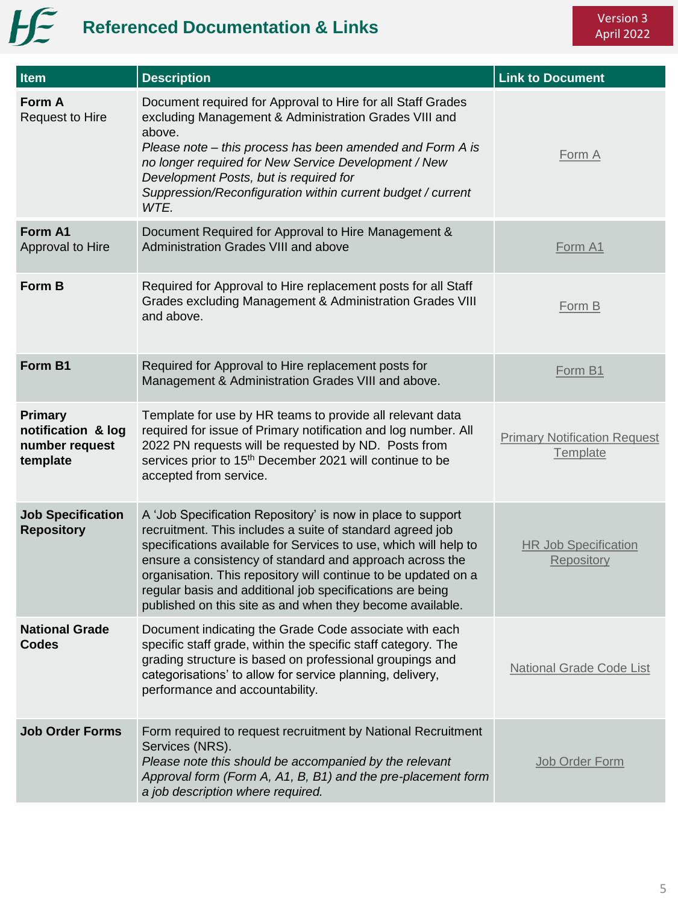### Version 3 April 2022

# **Henry Referenced Documentation & Links**

| Item                                                        | <b>Description</b>                                                                                                                                                                                                                                                                                                                                                                                                                                   | <b>Link to Document</b>                         |
|-------------------------------------------------------------|------------------------------------------------------------------------------------------------------------------------------------------------------------------------------------------------------------------------------------------------------------------------------------------------------------------------------------------------------------------------------------------------------------------------------------------------------|-------------------------------------------------|
| Form A<br><b>Request to Hire</b>                            | Document required for Approval to Hire for all Staff Grades<br>excluding Management & Administration Grades VIII and<br>above.<br>Please note – this process has been amended and Form A is<br>no longer required for New Service Development / New<br>Development Posts, but is required for<br>Suppression/Reconfiguration within current budget / current<br>WTE.                                                                                 | Form A                                          |
| Form A1<br>Approval to Hire                                 | Document Required for Approval to Hire Management &<br>Administration Grades VIII and above                                                                                                                                                                                                                                                                                                                                                          | Form A1                                         |
| Form B                                                      | Required for Approval to Hire replacement posts for all Staff<br>Grades excluding Management & Administration Grades VIII<br>and above.                                                                                                                                                                                                                                                                                                              | Form B                                          |
| Form B1                                                     | Required for Approval to Hire replacement posts for<br>Management & Administration Grades VIII and above.                                                                                                                                                                                                                                                                                                                                            | Form B1                                         |
| Primary<br>notification & log<br>number request<br>template | Template for use by HR teams to provide all relevant data<br>required for issue of Primary notification and log number. All<br>2022 PN requests will be requested by ND. Posts from<br>services prior to 15 <sup>th</sup> December 2021 will continue to be<br>accepted from service.                                                                                                                                                                | <b>Primary Notification Request</b><br>Template |
| <b>Job Specification</b><br><b>Repository</b>               | A 'Job Specification Repository' is now in place to support<br>recruitment. This includes a suite of standard agreed job<br>specifications available for Services to use, which will help to<br>ensure a consistency of standard and approach across the<br>organisation. This repository will continue to be updated on a<br>regular basis and additional job specifications are being<br>published on this site as and when they become available. | <b>HR Job Specification</b><br>Repository       |
| <b>National Grade</b><br><b>Codes</b>                       | Document indicating the Grade Code associate with each<br>specific staff grade, within the specific staff category. The<br>grading structure is based on professional groupings and<br>categorisations' to allow for service planning, delivery,<br>performance and accountability.                                                                                                                                                                  | <b>National Grade Code List</b>                 |
| <b>Job Order Forms</b>                                      | Form required to request recruitment by National Recruitment<br>Services (NRS).<br>Please note this should be accompanied by the relevant<br>Approval form (Form A, A1, B, B1) and the pre-placement form<br>a job description where required.                                                                                                                                                                                                       | Job Order Form                                  |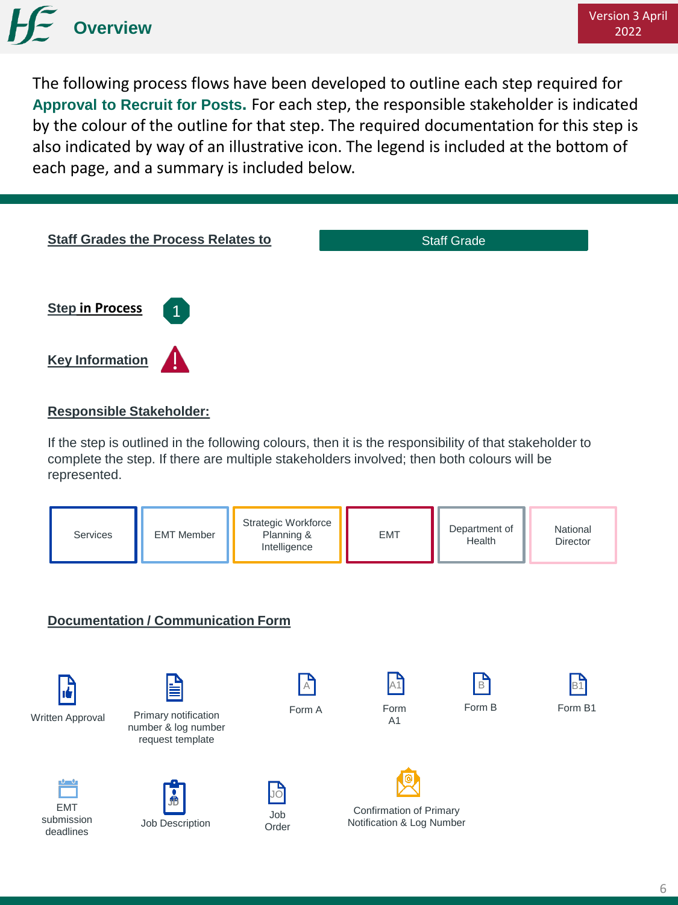

The following process flows have been developed to outline each step required for **Approval to Recruit for Posts.** For each step, the responsible stakeholder is indicated by the colour of the outline for that step. The required documentation for this step is also indicated by way of an illustrative icon. The legend is included at the bottom of each page, and a summary is included below.



#### **Responsible Stakeholder:**

If the step is outlined in the following colours, then it is the responsibility of that stakeholder to complete the step. If there are multiple stakeholders involved; then both colours will be represented.

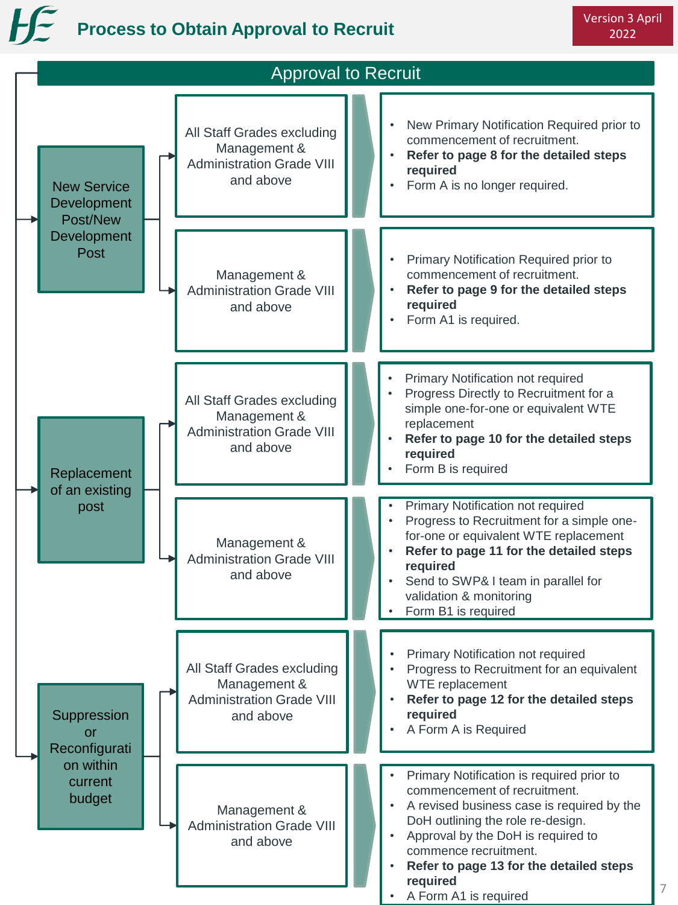# **Process to Obtain Approval to Recruit**

| <b>Approval to Recruit</b>                    |  |                                                                                             |  |                                                                                                                                                                                                                                                                                                                                       |
|-----------------------------------------------|--|---------------------------------------------------------------------------------------------|--|---------------------------------------------------------------------------------------------------------------------------------------------------------------------------------------------------------------------------------------------------------------------------------------------------------------------------------------|
| <b>New Service</b><br>Development<br>Post/New |  | All Staff Grades excluding<br>Management &<br><b>Administration Grade VIII</b><br>and above |  | New Primary Notification Required prior to<br>$\bullet$<br>commencement of recruitment.<br>Refer to page 8 for the detailed steps<br>required<br>Form A is no longer required.<br>٠                                                                                                                                                   |
| Development<br>Post                           |  | Management &<br><b>Administration Grade VIII</b><br>and above                               |  | Primary Notification Required prior to<br>commencement of recruitment.<br>Refer to page 9 for the detailed steps<br>required<br>Form A1 is required.                                                                                                                                                                                  |
| Replacement                                   |  | All Staff Grades excluding<br>Management &<br><b>Administration Grade VIII</b><br>and above |  | Primary Notification not required<br>Progress Directly to Recruitment for a<br>simple one-for-one or equivalent WTE<br>replacement<br>Refer to page 10 for the detailed steps<br>required<br>Form B is required                                                                                                                       |
| of an existing<br>post                        |  | Management &<br><b>Administration Grade VIII</b><br>and above                               |  | Primary Notification not required<br>Progress to Recruitment for a simple one-<br>for-one or equivalent WTE replacement<br>Refer to page 11 for the detailed steps<br>required<br>Send to SWP& I team in parallel for<br>validation & monitoring<br>Form B1 is required                                                               |
| Suppression<br><b>or</b><br>Reconfigurati     |  | All Staff Grades excluding<br>Management &<br><b>Administration Grade VIII</b><br>and above |  | Primary Notification not required<br>Progress to Recruitment for an equivalent<br>WTE replacement<br>Refer to page 12 for the detailed steps<br>required<br>A Form A is Required<br>٠                                                                                                                                                 |
| on within<br>current<br>budget                |  | Management &<br><b>Administration Grade VIII</b><br>and above                               |  | Primary Notification is required prior to<br>commencement of recruitment.<br>A revised business case is required by the<br>DoH outlining the role re-design.<br>Approval by the DoH is required to<br>$\bullet$<br>commence recruitment.<br>Refer to page 13 for the detailed steps<br>$\bullet$<br>required<br>A Form A1 is required |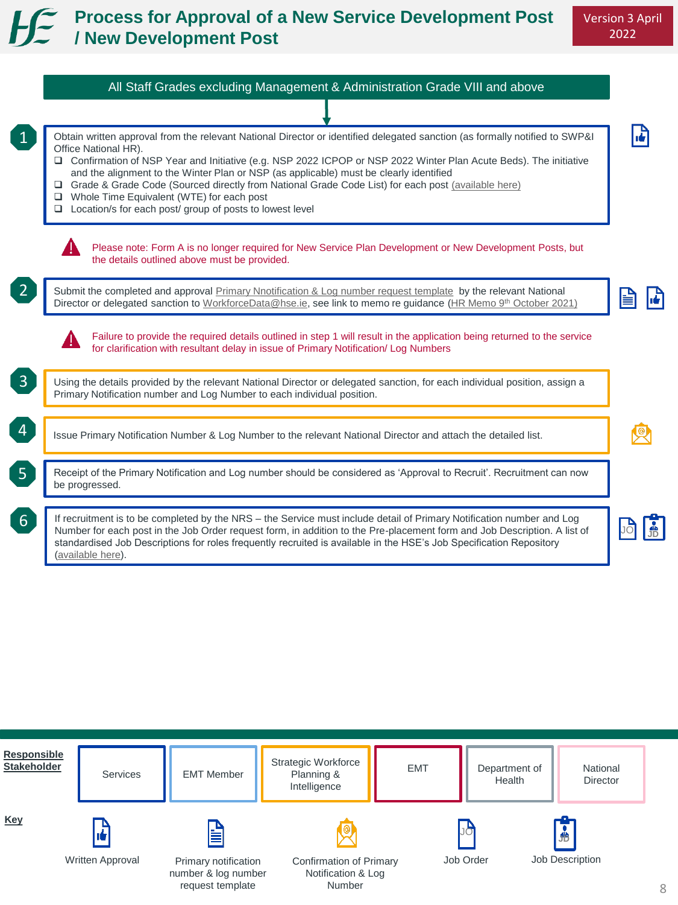### **Process for Approval of a New Service Development Post / New Development Post**

|                | All Staff Grades excluding Management & Administration Grade VIII and above                                                                                                                                                                                                                                                                                                                                                                                                                                                                                                                      |  |
|----------------|--------------------------------------------------------------------------------------------------------------------------------------------------------------------------------------------------------------------------------------------------------------------------------------------------------------------------------------------------------------------------------------------------------------------------------------------------------------------------------------------------------------------------------------------------------------------------------------------------|--|
|                |                                                                                                                                                                                                                                                                                                                                                                                                                                                                                                                                                                                                  |  |
|                | Obtain written approval from the relevant National Director or identified delegated sanction (as formally notified to SWP&I<br>Office National HR).<br>□ Confirmation of NSP Year and Initiative (e.g. NSP 2022 ICPOP or NSP 2022 Winter Plan Acute Beds). The initiative<br>and the alignment to the Winter Plan or NSP (as applicable) must be clearly identified<br>Grade & Grade Code (Sourced directly from National Grade Code List) for each post (available here)<br>$\Box$ Whole Time Equivalent (WTE) for each post<br>$\Box$ Location/s for each post/ group of posts to lowest level |  |
|                | Please note: Form A is no longer required for New Service Plan Development or New Development Posts, but<br>the details outlined above must be provided.                                                                                                                                                                                                                                                                                                                                                                                                                                         |  |
|                | Submit the completed and approval Primary Nnotification & Log number request template by the relevant National<br>Director or delegated sanction to WorkforceData@hse.ie, see link to memo re guidance (HR Memo 9th October 2021)                                                                                                                                                                                                                                                                                                                                                                |  |
|                | Failure to provide the required details outlined in step 1 will result in the application being returned to the service<br>for clarification with resultant delay in issue of Primary Notification/ Log Numbers                                                                                                                                                                                                                                                                                                                                                                                  |  |
| $\mathbf{3}$   | Using the details provided by the relevant National Director or delegated sanction, for each individual position, assign a<br>Primary Notification number and Log Number to each individual position.                                                                                                                                                                                                                                                                                                                                                                                            |  |
| $\overline{4}$ | Issue Primary Notification Number & Log Number to the relevant National Director and attach the detailed list.                                                                                                                                                                                                                                                                                                                                                                                                                                                                                   |  |
| 5 <sub>1</sub> | Receipt of the Primary Notification and Log number should be considered as 'Approval to Recruit'. Recruitment can now<br>be progressed.                                                                                                                                                                                                                                                                                                                                                                                                                                                          |  |
| 6 <sup>1</sup> | If recruitment is to be completed by the NRS - the Service must include detail of Primary Notification number and Log<br>Number for each post in the Job Order request form, in addition to the Pre-placement form and Job Description. A list of<br>standardised Job Descriptions for roles frequently recruited is available in the HSE's Job Specification Repository<br>(available here).                                                                                                                                                                                                    |  |

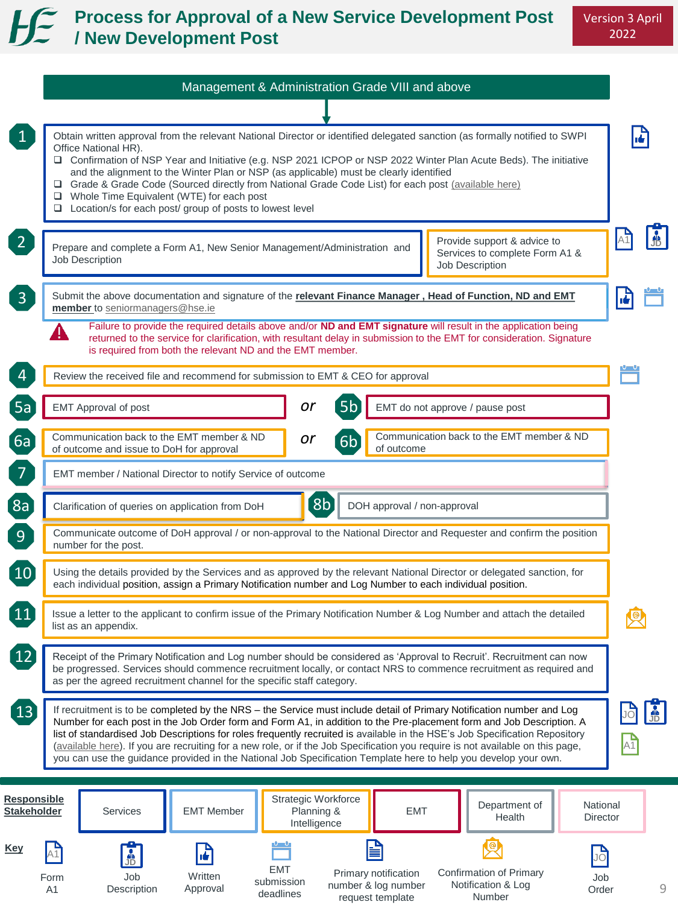### **Process for Approval of a New Service Development Post / New Development Post**

|                                          | Management & Administration Grade VIII and above                                                                                                                                                                                                                                                                                                                                                                                                                                                                                                                                                                                  |                                                                                  |                            |  |  |
|------------------------------------------|-----------------------------------------------------------------------------------------------------------------------------------------------------------------------------------------------------------------------------------------------------------------------------------------------------------------------------------------------------------------------------------------------------------------------------------------------------------------------------------------------------------------------------------------------------------------------------------------------------------------------------------|----------------------------------------------------------------------------------|----------------------------|--|--|
|                                          |                                                                                                                                                                                                                                                                                                                                                                                                                                                                                                                                                                                                                                   |                                                                                  |                            |  |  |
| $\mathbf{1}$                             | Obtain written approval from the relevant National Director or identified delegated sanction (as formally notified to SWPI<br>Office National HR).<br>□ Confirmation of NSP Year and Initiative (e.g. NSP 2021 ICPOP or NSP 2022 Winter Plan Acute Beds). The initiative<br>and the alignment to the Winter Plan or NSP (as applicable) must be clearly identified<br>Grade & Grade Code (Sourced directly from National Grade Code List) for each post (available here)<br>Whole Time Equivalent (WTE) for each post<br>□ Location/s for each post/ group of posts to lowest level                                               |                                                                                  |                            |  |  |
| 2 <sup>1</sup>                           | Prepare and complete a Form A1, New Senior Management/Administration and<br>Job Description                                                                                                                                                                                                                                                                                                                                                                                                                                                                                                                                       | Provide support & advice to<br>Services to complete Form A1 &<br>Job Description | A <sub>1</sub>             |  |  |
| $\mathbf{3}$                             | Submit the above documentation and signature of the relevant Finance Manager, Head of Function, ND and EMT<br>member to seniormanagers@hse.ie                                                                                                                                                                                                                                                                                                                                                                                                                                                                                     |                                                                                  | l dr                       |  |  |
|                                          | Failure to provide the required details above and/or ND and EMT signature will result in the application being<br>υ<br>returned to the service for clarification, with resultant delay in submission to the EMT for consideration. Signature<br>is required from both the relevant ND and the EMT member.                                                                                                                                                                                                                                                                                                                         |                                                                                  |                            |  |  |
| 4                                        | Review the received file and recommend for submission to EMT & CEO for approval                                                                                                                                                                                                                                                                                                                                                                                                                                                                                                                                                   |                                                                                  |                            |  |  |
| 5a                                       | 5b<br>or<br><b>EMT Approval of post</b>                                                                                                                                                                                                                                                                                                                                                                                                                                                                                                                                                                                           | EMT do not approve / pause post                                                  |                            |  |  |
| (6a)                                     | Communication back to the EMT member & ND<br>Communication back to the EMT member & ND<br>or<br>6 <sub>b</sub><br>of outcome and issue to DoH for approval<br>of outcome                                                                                                                                                                                                                                                                                                                                                                                                                                                          |                                                                                  |                            |  |  |
| $\overline{7}$                           | EMT member / National Director to notify Service of outcome                                                                                                                                                                                                                                                                                                                                                                                                                                                                                                                                                                       |                                                                                  |                            |  |  |
| $\left[8a\right]$                        | 8b<br>DOH approval / non-approval<br>Clarification of queries on application from DoH                                                                                                                                                                                                                                                                                                                                                                                                                                                                                                                                             |                                                                                  |                            |  |  |
| 9 <sub>1</sub>                           | Communicate outcome of DoH approval / or non-approval to the National Director and Requester and confirm the position<br>number for the post.                                                                                                                                                                                                                                                                                                                                                                                                                                                                                     |                                                                                  |                            |  |  |
| $\boxed{10}$                             | Using the details provided by the Services and as approved by the relevant National Director or delegated sanction, for<br>each individual position, assign a Primary Notification number and Log Number to each individual position.                                                                                                                                                                                                                                                                                                                                                                                             |                                                                                  |                            |  |  |
| 11                                       | Issue a letter to the applicant to confirm issue of the Primary Notification Number & Log Number and attach the detailed<br>list as an appendix.                                                                                                                                                                                                                                                                                                                                                                                                                                                                                  |                                                                                  |                            |  |  |
|                                          | Receipt of the Primary Notification and Log number should be considered as 'Approval to Recruit'. Recruitment can now<br>be progressed. Services should commence recruitment locally, or contact NRS to commence recruitment as required and<br>as per the agreed recruitment channel for the specific staff category.                                                                                                                                                                                                                                                                                                            |                                                                                  |                            |  |  |
| 13                                       | If recruitment is to be completed by the NRS – the Service must include detail of Primary Notification number and Log<br>Number for each post in the Job Order form and Form A1, in addition to the Pre-placement form and Job Description. A<br>list of standardised Job Descriptions for roles frequently recruited is available in the HSE's Job Specification Repository<br>(available here). If you are recruiting for a new role, or if the Job Specification you require is not available on this page,<br>you can use the guidance provided in the National Job Specification Template here to help you develop your own. |                                                                                  | $\frac{1}{\sqrt{D}}$<br>A1 |  |  |
| <b>Responsible</b><br><b>Stakeholder</b> | Strategic Workforce<br>Planning &<br><b>Services</b><br><b>EMT Member</b><br>Intelligence                                                                                                                                                                                                                                                                                                                                                                                                                                                                                                                                         | Department of<br>National<br><b>EMT</b><br>Health<br>Director                    |                            |  |  |
| <b>Key</b>                               | dia<br>JD<br>A1 <br><b>EMT</b><br>Primary notification<br>Written<br>Form<br>Job<br>submission<br>number & log number<br>A1<br>Description<br>Approval<br>deadlines<br>request template                                                                                                                                                                                                                                                                                                                                                                                                                                           | Confirmation of Primary<br>Job<br>Notification & Log<br>Order<br>Number          | 9                          |  |  |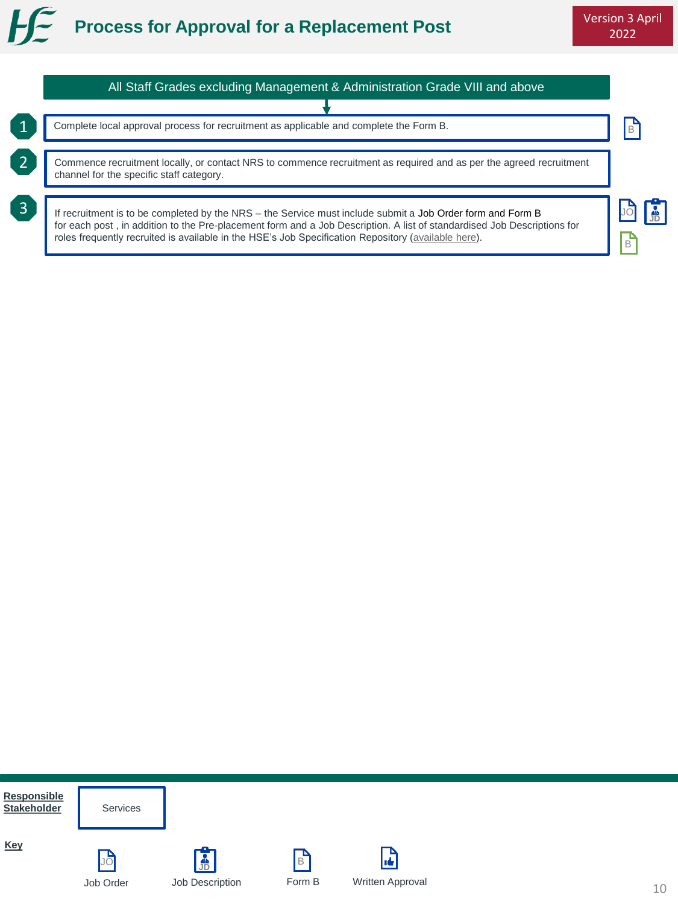



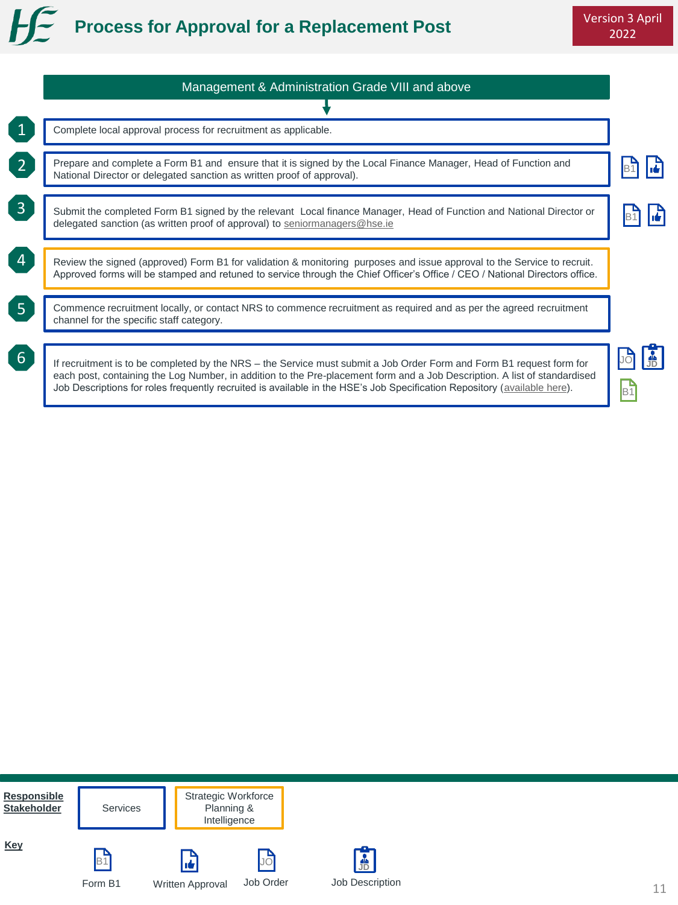

|                 | Management & Administration Grade VIII and above                                                                                                                                                                                                                                                                                                                              |    |  |  |
|-----------------|-------------------------------------------------------------------------------------------------------------------------------------------------------------------------------------------------------------------------------------------------------------------------------------------------------------------------------------------------------------------------------|----|--|--|
|                 |                                                                                                                                                                                                                                                                                                                                                                               |    |  |  |
|                 | Complete local approval process for recruitment as applicable.                                                                                                                                                                                                                                                                                                                |    |  |  |
| $\overline{2}$  | Prepare and complete a Form B1 and ensure that it is signed by the Local Finance Manager, Head of Function and<br>National Director or delegated sanction as written proof of approval).                                                                                                                                                                                      |    |  |  |
| $\overline{3}$  | Submit the completed Form B1 signed by the relevant Local finance Manager, Head of Function and National Director or<br>delegated sanction (as written proof of approval) to seniormanagers@hse.ie                                                                                                                                                                            |    |  |  |
| $\boxed{4}$     | Review the signed (approved) Form B1 for validation & monitoring purposes and issue approval to the Service to recruit.<br>Approved forms will be stamped and retuned to service through the Chief Officer's Office / CEO / National Directors office.                                                                                                                        |    |  |  |
| $5\phantom{1}$  | Commence recruitment locally, or contact NRS to commence recruitment as required and as per the agreed recruitment<br>channel for the specific staff category.                                                                                                                                                                                                                |    |  |  |
| $6\overline{6}$ | If recruitment is to be completed by the NRS – the Service must submit a Job Order Form and Form B1 request form for<br>each post, containing the Log Number, in addition to the Pre-placement form and a Job Description. A list of standardised<br>Job Descriptions for roles frequently recruited is available in the HSE's Job Specification Repository (available here). | Bʻ |  |  |

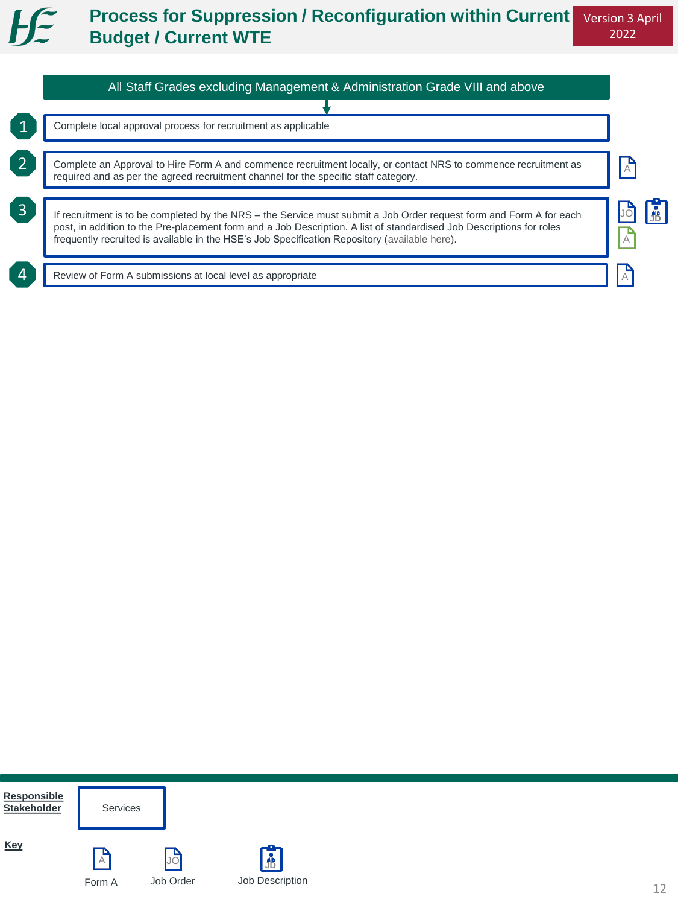#### $H \in$ **Process for Suppression / Reconfiguration within Current Budget / Current WTE**

| Complete local approval process for recruitment as applicable                                                                                                                                                                                                                                                                                |  |
|----------------------------------------------------------------------------------------------------------------------------------------------------------------------------------------------------------------------------------------------------------------------------------------------------------------------------------------------|--|
| Complete an Approval to Hire Form A and commence recruitment locally, or contact NRS to commence recruitment as<br>required and as per the agreed recruitment channel for the specific staff category.                                                                                                                                       |  |
| If recruitment is to be completed by the NRS – the Service must submit a Job Order request form and Form A for each<br>post, in addition to the Pre-placement form and a Job Description. A list of standardised Job Descriptions for roles<br>frequently recruited is available in the HSE's Job Specification Repository (available here). |  |
| Review of Form A submissions at local level as appropriate                                                                                                                                                                                                                                                                                   |  |

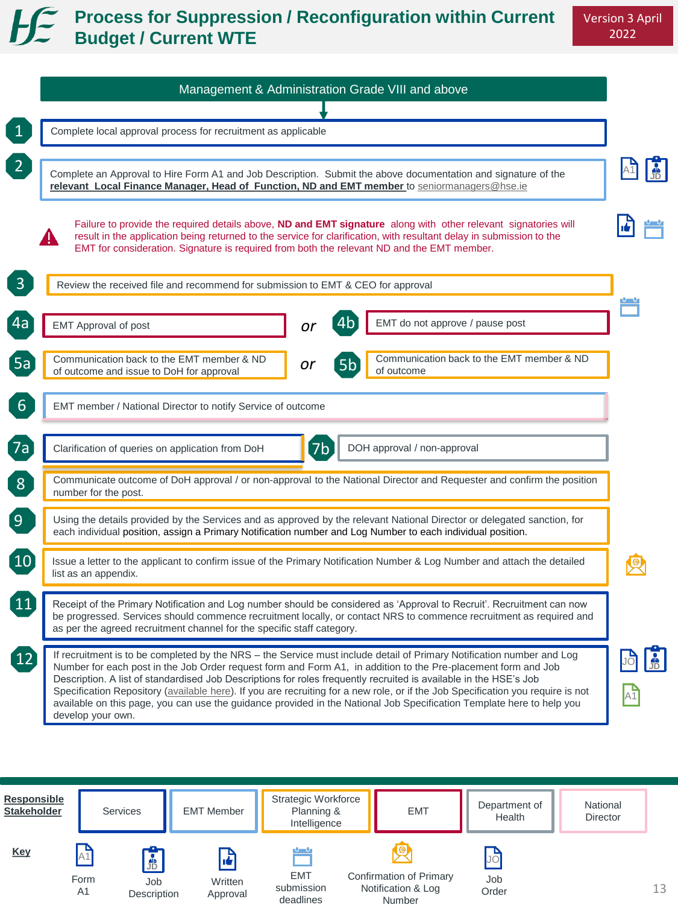## **Process for Suppression / Reconfiguration within Current Budget / Current WTE**

| Complete local approval process for recruitment as applicable                                                                                                                                                                                           |    |                                                                                                                                                                                                                                                                                                                                                                                   |
|---------------------------------------------------------------------------------------------------------------------------------------------------------------------------------------------------------------------------------------------------------|----|-----------------------------------------------------------------------------------------------------------------------------------------------------------------------------------------------------------------------------------------------------------------------------------------------------------------------------------------------------------------------------------|
| relevant Local Finance Manager, Head of Function, ND and EMT member to seniormanagers@hse.ie                                                                                                                                                            |    | Complete an Approval to Hire Form A1 and Job Description. Submit the above documentation and signature of the                                                                                                                                                                                                                                                                     |
| EMT for consideration. Signature is required from both the relevant ND and the EMT member.                                                                                                                                                              |    | Failure to provide the required details above, ND and EMT signature along with other relevant signatories will<br>result in the application being returned to the service for clarification, with resultant delay in submission to the                                                                                                                                            |
| Review the received file and recommend for submission to EMT & CEO for approval                                                                                                                                                                         |    |                                                                                                                                                                                                                                                                                                                                                                                   |
| <b>EMT Approval of post</b>                                                                                                                                                                                                                             | or | 4b<br>EMT do not approve / pause post                                                                                                                                                                                                                                                                                                                                             |
| Communication back to the EMT member & ND<br>of outcome and issue to DoH for approval                                                                                                                                                                   | or | Communication back to the EMT member & ND<br>5 <sub>b</sub><br>of outcome                                                                                                                                                                                                                                                                                                         |
| EMT member / National Director to notify Service of outcome                                                                                                                                                                                             |    |                                                                                                                                                                                                                                                                                                                                                                                   |
| Clarification of queries on application from DoH                                                                                                                                                                                                        | 7b | DOH approval / non-approval                                                                                                                                                                                                                                                                                                                                                       |
| number for the post.                                                                                                                                                                                                                                    |    | Communicate outcome of DoH approval / or non-approval to the National Director and Requester and confirm the position                                                                                                                                                                                                                                                             |
| each individual position, assign a Primary Notification number and Log Number to each individual position.                                                                                                                                              |    | Using the details provided by the Services and as approved by the relevant National Director or delegated sanction, for                                                                                                                                                                                                                                                           |
| list as an appendix.                                                                                                                                                                                                                                    |    | Issue a letter to the applicant to confirm issue of the Primary Notification Number & Log Number and attach the detailed                                                                                                                                                                                                                                                          |
| as per the agreed recruitment channel for the specific staff category.                                                                                                                                                                                  |    | Receipt of the Primary Notification and Log number should be considered as 'Approval to Recruit'. Recruitment can now<br>be progressed. Services should commence recruitment locally, or contact NRS to commence recruitment as required and                                                                                                                                      |
| Number for each post in the Job Order request form and Form A1, in addition to the Pre-placement form and Job<br>Description. A list of standardised Job Descriptions for roles frequently recruited is available in the HSE's Job<br>develop your own. |    | If recruitment is to be completed by the NRS – the Service must include detail of Primary Notification number and Log<br>Specification Repository (available here). If you are recruiting for a new role, or if the Job Specification you require is not<br>available on this page, you can use the guidance provided in the National Job Specification Template here to help you |